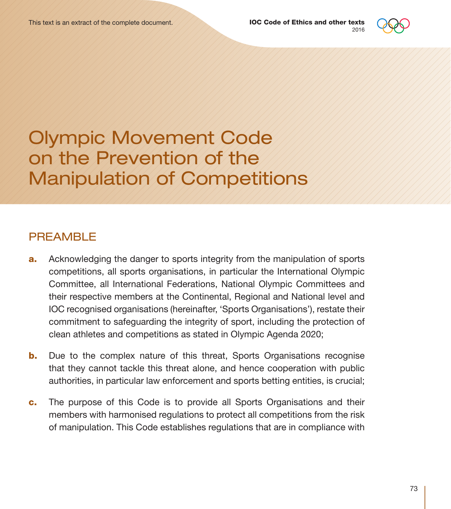

Olympic Movement Code on the Prevention of the Manipulation of Competitions

### PREAMBLE

- **a.** Acknowledging the danger to sports integrity from the manipulation of sports competitions, all sports organisations, in particular the International Olympic Committee, all International Federations, National Olympic Committees and their respective members at the Continental, Regional and National level and IOC recognised organisations (hereinafter, 'Sports Organisations'), restate their commitment to safeguarding the integrity of sport, including the protection of clean athletes and competitions as stated in Olympic Agenda 2020;
- **b.** Due to the complex nature of this threat, Sports Organisations recognise that they cannot tackle this threat alone, and hence cooperation with public authorities, in particular law enforcement and sports betting entities, is crucial;
- c. The purpose of this Code is to provide all Sports Organisations and their members with harmonised regulations to protect all competitions from the risk of manipulation. This Code establishes regulations that are in compliance with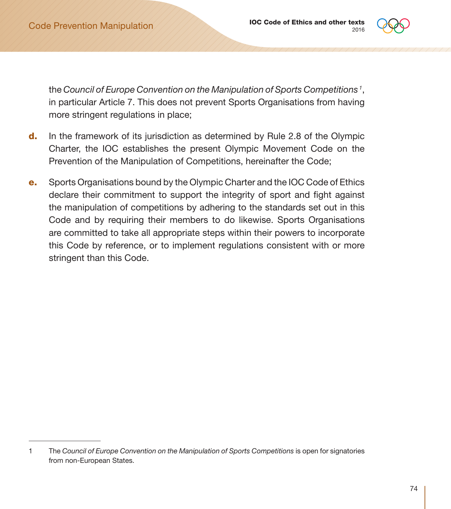

the *Council of Europe Convention on the Manipulation of Sports Competitions <sup>1</sup>* , in particular Article 7. This does not prevent Sports Organisations from having more stringent regulations in place;

- d. In the framework of its jurisdiction as determined by Rule 2.8 of the Olympic Charter, the IOC establishes the present Olympic Movement Code on the Prevention of the Manipulation of Competitions, hereinafter the Code;
- e. Sports Organisations bound by the Olympic Charter and the IOC Code of Ethics declare their commitment to support the integrity of sport and fight against the manipulation of competitions by adhering to the standards set out in this Code and by requiring their members to do likewise. Sports Organisations are committed to take all appropriate steps within their powers to incorporate this Code by reference, or to implement regulations consistent with or more stringent than this Code.

<sup>1</sup> The *Council of Europe Convention on the Manipulation of Sports Competitions* is open for signatories from non-European States.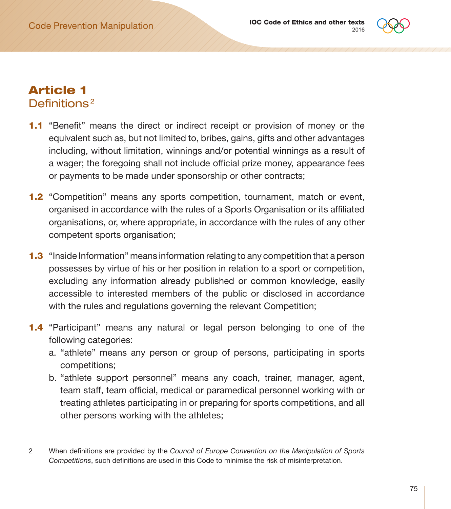

### Article 1 Definitions<sup>2</sup>

- 1.1 "Benefit" means the direct or indirect receipt or provision of money or the equivalent such as, but not limited to, bribes, gains, gifts and other advantages including, without limitation, winnings and/or potential winnings as a result of a wager; the foregoing shall not include official prize money, appearance fees or payments to be made under sponsorship or other contracts;
- 1.2 "Competition" means any sports competition, tournament, match or event, organised in accordance with the rules of a Sports Organisation or its affiliated organisations, or, where appropriate, in accordance with the rules of any other competent sports organisation;
- 1.3 "Inside Information" means information relating to any competition that a person possesses by virtue of his or her position in relation to a sport or competition, excluding any information already published or common knowledge, easily accessible to interested members of the public or disclosed in accordance with the rules and regulations governing the relevant Competition;
- 1.4 "Participant" means any natural or legal person belonging to one of the following categories:
	- a. "athlete" means any person or group of persons, participating in sports competitions;
	- b. "athlete support personnel" means any coach, trainer, manager, agent, team staff, team official, medical or paramedical personnel working with or treating athletes participating in or preparing for sports competitions, and all other persons working with the athletes;

<sup>2</sup> When definitions are provided by the *Council of Europe Convention on the Manipulation of Sports Competitions*, such definitions are used in this Code to minimise the risk of misinterpretation.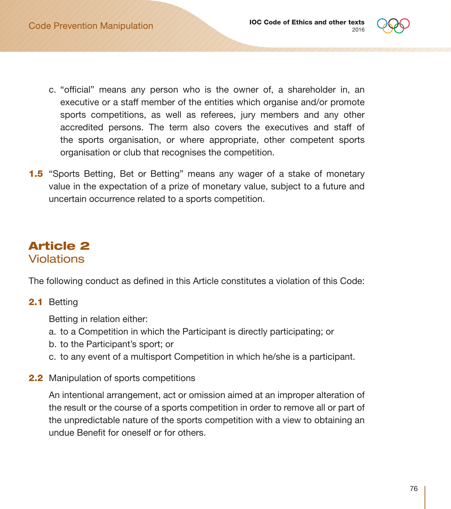

- c. "official" means any person who is the owner of, a shareholder in, an executive or a staff member of the entities which organise and/or promote sports competitions, as well as referees, jury members and any other accredited persons. The term also covers the executives and staff of the sports organisation, or where appropriate, other competent sports organisation or club that recognises the competition.
- 1.5 "Sports Betting, Bet or Betting" means any wager of a stake of monetary value in the expectation of a prize of monetary value, subject to a future and uncertain occurrence related to a sports competition.

# Article 2 **Violations**

The following conduct as defined in this Article constitutes a violation of this Code:

#### 2.1 Betting

Betting in relation either:

- a. to a Competition in which the Participant is directly participating; or
- b. to the Participant's sport; or
- c. to any event of a multisport Competition in which he/she is a participant.
- 2.2 Manipulation of sports competitions

An intentional arrangement, act or omission aimed at an improper alteration of the result or the course of a sports competition in order to remove all or part of the unpredictable nature of the sports competition with a view to obtaining an undue Benefit for oneself or for others.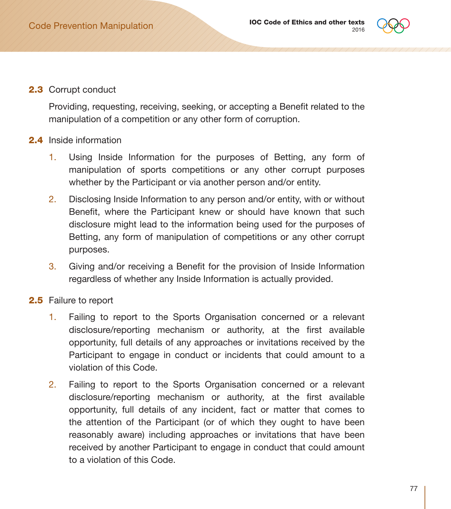

2.3 Corrupt conduct

Providing, requesting, receiving, seeking, or accepting a Benefit related to the manipulation of a competition or any other form of corruption.

#### 2.4 Inside information

- 1. Using Inside Information for the purposes of Betting, any form of manipulation of sports competitions or any other corrupt purposes whether by the Participant or via another person and/or entity.
- 2. Disclosing Inside Information to any person and/or entity, with or without Benefit, where the Participant knew or should have known that such disclosure might lead to the information being used for the purposes of Betting, any form of manipulation of competitions or any other corrupt purposes.
- 3. Giving and/or receiving a Benefit for the provision of Inside Information regardless of whether any Inside Information is actually provided.
- 2.5 Failure to report
	- 1. Failing to report to the Sports Organisation concerned or a relevant disclosure/reporting mechanism or authority, at the first available opportunity, full details of any approaches or invitations received by the Participant to engage in conduct or incidents that could amount to a violation of this Code.
	- 2. Failing to report to the Sports Organisation concerned or a relevant disclosure/reporting mechanism or authority, at the first available opportunity, full details of any incident, fact or matter that comes to the attention of the Participant (or of which they ought to have been reasonably aware) including approaches or invitations that have been received by another Participant to engage in conduct that could amount to a violation of this Code.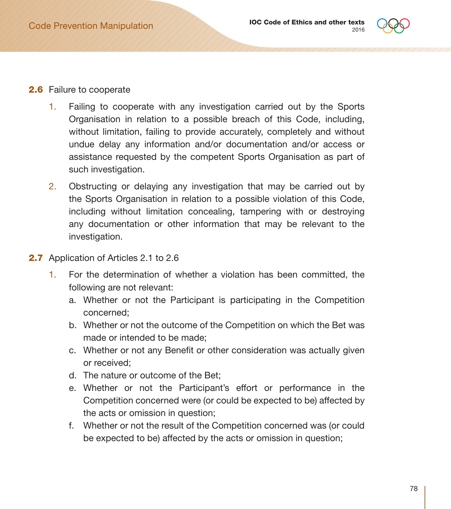

#### 2.6 Failure to cooperate

- 1. Failing to cooperate with any investigation carried out by the Sports Organisation in relation to a possible breach of this Code, including, without limitation, failing to provide accurately, completely and without undue delay any information and/or documentation and/or access or assistance requested by the competent Sports Organisation as part of such investigation.
- 2. Obstructing or delaying any investigation that may be carried out by the Sports Organisation in relation to a possible violation of this Code, including without limitation concealing, tampering with or destroying any documentation or other information that may be relevant to the investigation.
- 2.7 Application of Articles 2.1 to 2.6
	- 1. For the determination of whether a violation has been committed, the following are not relevant:
		- a. Whether or not the Participant is participating in the Competition concerned;
		- b. Whether or not the outcome of the Competition on which the Bet was made or intended to be made;
		- c. Whether or not any Benefit or other consideration was actually given or received;
		- d. The nature or outcome of the Bet;
		- e. Whether or not the Participant's effort or performance in the Competition concerned were (or could be expected to be) affected by the acts or omission in question;
		- f. Whether or not the result of the Competition concerned was (or could be expected to be) affected by the acts or omission in question;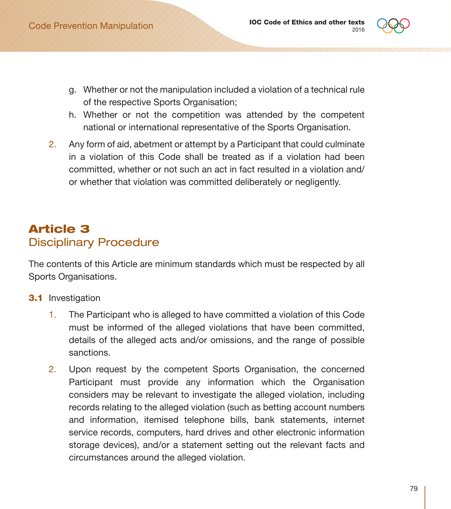

- g. Whether or not the manipulation included a violation of a technical rule of the respective Sports Organisation;
- h. Whether or not the competition was attended by the competent national or international representative of the Sports Organisation.
- 2. Any form of aid, abetment or attempt by a Participant that could culminate in a violation of this Code shall be treated as if a violation had been committed, whether or not such an act in fact resulted in a violation and/ or whether that violation was committed deliberately or negligently.

# Article 3 Disciplinary Procedure

The contents of this Article are minimum standards which must be respected by all Sports Organisations.

- **3.1** Investigation
	- 1. The Participant who is alleged to have committed a violation of this Code must be informed of the alleged violations that have been committed, details of the alleged acts and/or omissions, and the range of possible sanctions.
	- 2. Upon request by the competent Sports Organisation, the concerned Participant must provide any information which the Organisation considers may be relevant to investigate the alleged violation, including records relating to the alleged violation (such as betting account numbers and information, itemised telephone bills, bank statements, internet service records, computers, hard drives and other electronic information storage devices), and/or a statement setting out the relevant facts and circumstances around the alleged violation.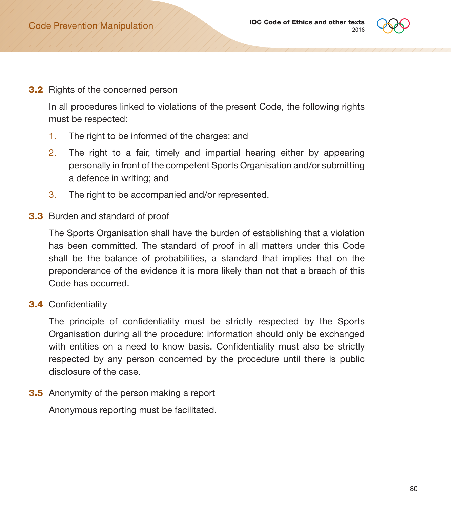

**3.2** Rights of the concerned person

In all procedures linked to violations of the present Code, the following rights must be respected:

- 1. The right to be informed of the charges; and
- 2. The right to a fair, timely and impartial hearing either by appearing personally in front of the competent Sports Organisation and/or submitting a defence in writing; and
- 3. The right to be accompanied and/or represented.
- 3.3 Burden and standard of proof

The Sports Organisation shall have the burden of establishing that a violation has been committed. The standard of proof in all matters under this Code shall be the balance of probabilities, a standard that implies that on the preponderance of the evidence it is more likely than not that a breach of this Code has occurred.

3.4 Confidentiality

The principle of confidentiality must be strictly respected by the Sports Organisation during all the procedure; information should only be exchanged with entities on a need to know basis. Confidentiality must also be strictly respected by any person concerned by the procedure until there is public disclosure of the case.

**3.5** Anonymity of the person making a report

Anonymous reporting must be facilitated.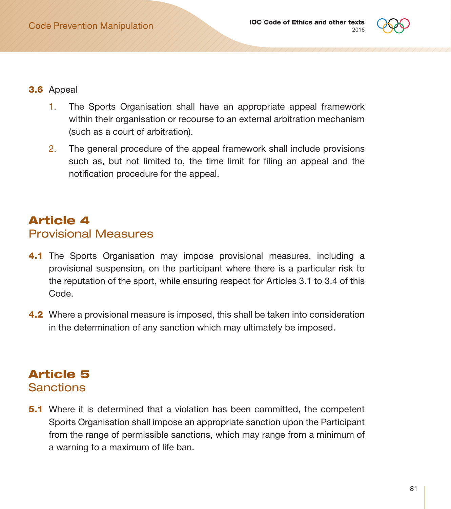

#### 3.6 Appeal

- 1. The Sports Organisation shall have an appropriate appeal framework within their organisation or recourse to an external arbitration mechanism (such as a court of arbitration).
- 2. The general procedure of the appeal framework shall include provisions such as, but not limited to, the time limit for filing an appeal and the notification procedure for the appeal.

# Article 4 Provisional Measures

- 4.1 The Sports Organisation may impose provisional measures, including a provisional suspension, on the participant where there is a particular risk to the reputation of the sport, while ensuring respect for Articles 3.1 to 3.4 of this Code.
- 4.2 Where a provisional measure is imposed, this shall be taken into consideration in the determination of any sanction which may ultimately be imposed.

### Article 5 **Sanctions**

**5.1** Where it is determined that a violation has been committed, the competent Sports Organisation shall impose an appropriate sanction upon the Participant from the range of permissible sanctions, which may range from a minimum of a warning to a maximum of life ban.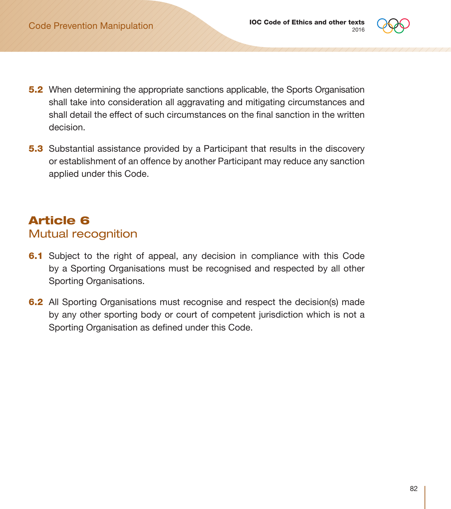

- **5.2** When determining the appropriate sanctions applicable, the Sports Organisation shall take into consideration all aggravating and mitigating circumstances and shall detail the effect of such circumstances on the final sanction in the written decision.
- **5.3** Substantial assistance provided by a Participant that results in the discovery or establishment of an offence by another Participant may reduce any sanction applied under this Code.

# Article 6 Mutual recognition

- 6.1 Subject to the right of appeal, any decision in compliance with this Code by a Sporting Organisations must be recognised and respected by all other Sporting Organisations.
- **6.2** All Sporting Organisations must recognise and respect the decision(s) made by any other sporting body or court of competent jurisdiction which is not a Sporting Organisation as defined under this Code.